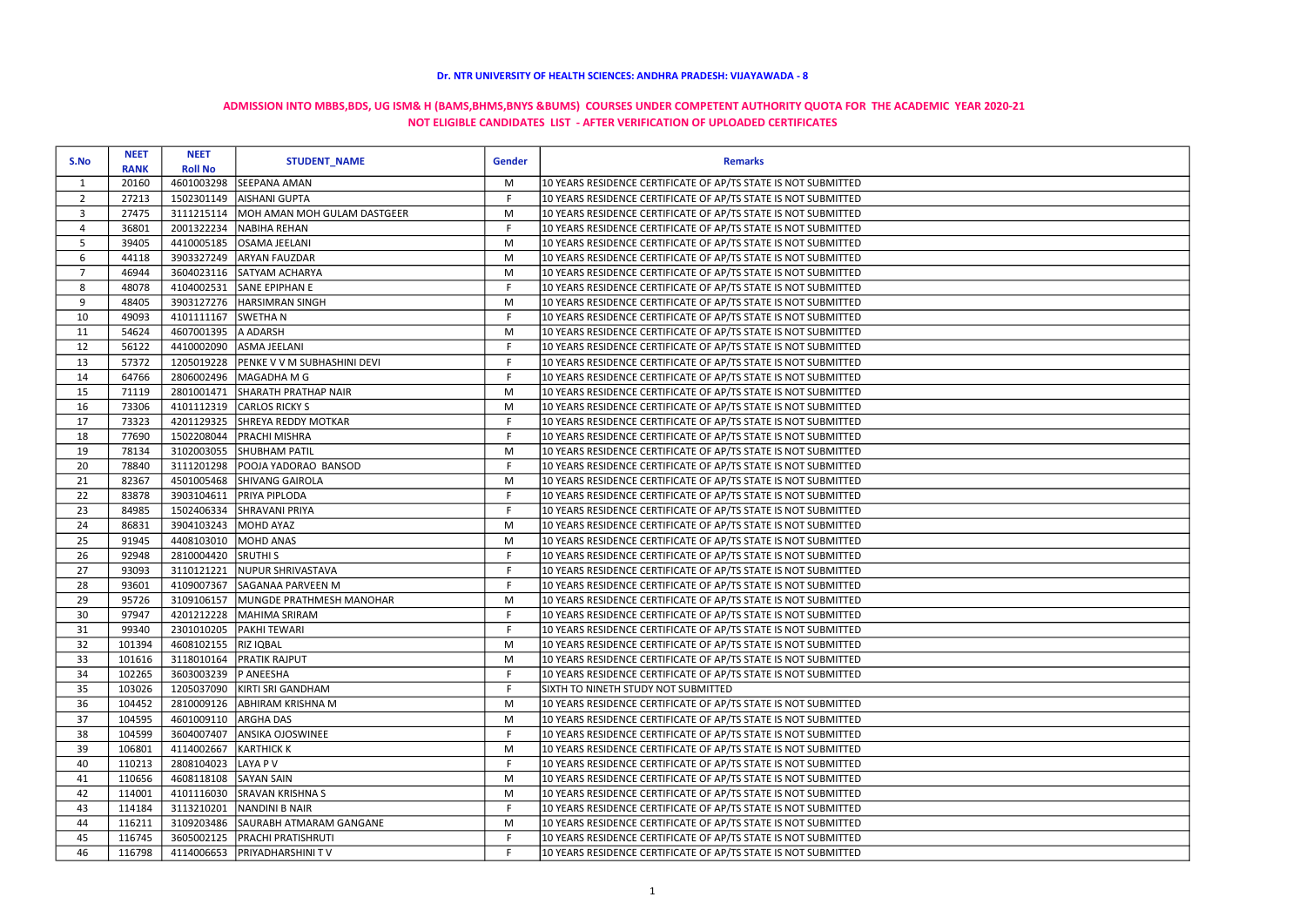|                | <b>NEET</b>                           | <b>NEET</b>           |                                    | <b>Gender</b> |                                                                |  |
|----------------|---------------------------------------|-----------------------|------------------------------------|---------------|----------------------------------------------------------------|--|
|                | S.No<br><b>Roll No</b><br><b>RANK</b> |                       | <b>STUDENT_NAME</b>                |               | <b>Remarks</b>                                                 |  |
| $\mathbf{1}$   | 20160                                 | 4601003298            | <b>SEEPANA AMAN</b>                | M             | 10 YEARS RESIDENCE CERTIFICATE OF AP/TS STATE IS NOT SUBMITTED |  |
| $2^{\circ}$    | 27213                                 | 1502301149            | <b>AISHANI GUPTA</b>               | F.            | 10 YEARS RESIDENCE CERTIFICATE OF AP/TS STATE IS NOT SUBMITTED |  |
| 3              | 27475                                 | 3111215114            | MOH AMAN MOH GULAM DASTGEER        | M             | 10 YEARS RESIDENCE CERTIFICATE OF AP/TS STATE IS NOT SUBMITTED |  |
| 4              | 36801                                 | 2001322234            | NABIHA REHAN                       | F             | 10 YEARS RESIDENCE CERTIFICATE OF AP/TS STATE IS NOT SUBMITTED |  |
| 5              | 39405                                 | 4410005185            | OSAMA JEELANI                      | M             | 10 YEARS RESIDENCE CERTIFICATE OF AP/TS STATE IS NOT SUBMITTED |  |
| 6              | 44118                                 | 3903327249            | <b>ARYAN FAUZDAR</b>               | M             | 10 YEARS RESIDENCE CERTIFICATE OF AP/TS STATE IS NOT SUBMITTED |  |
| $\overline{7}$ | 46944                                 | 3604023116            | SATYAM ACHARYA                     | M             | 10 YEARS RESIDENCE CERTIFICATE OF AP/TS STATE IS NOT SUBMITTED |  |
| 8              | 48078                                 | 4104002531            | SANE EPIPHAN E                     | F             | 10 YEARS RESIDENCE CERTIFICATE OF AP/TS STATE IS NOT SUBMITTED |  |
| 9              | 48405                                 | 3903127276            | <b>HARSIMRAN SINGH</b>             | M             | 10 YEARS RESIDENCE CERTIFICATE OF AP/TS STATE IS NOT SUBMITTED |  |
| 10             | 49093                                 | 4101111167            | <b>SWETHAN</b>                     | F             | 10 YEARS RESIDENCE CERTIFICATE OF AP/TS STATE IS NOT SUBMITTED |  |
| 11             | 54624                                 | 4607001395            | A ADARSH                           | M             | 10 YEARS RESIDENCE CERTIFICATE OF AP/TS STATE IS NOT SUBMITTED |  |
| 12             | 56122                                 | 4410002090            | ASMA JEELANI                       | $\mathsf F$   | 10 YEARS RESIDENCE CERTIFICATE OF AP/TS STATE IS NOT SUBMITTED |  |
| 13             | 57372                                 | 1205019228            | <b>PENKE V V M SUBHASHINI DEVI</b> | F             | 10 YEARS RESIDENCE CERTIFICATE OF AP/TS STATE IS NOT SUBMITTED |  |
| 14             | 64766                                 | 2806002496            | MAGADHA M G                        | F             | 10 YEARS RESIDENCE CERTIFICATE OF AP/TS STATE IS NOT SUBMITTED |  |
| 15             | 71119                                 | 2801001471            | SHARATH PRATHAP NAIR               | M             | 10 YEARS RESIDENCE CERTIFICATE OF AP/TS STATE IS NOT SUBMITTED |  |
| 16             | 73306                                 | 4101112319            | <b>CARLOS RICKY S</b>              | M             | 10 YEARS RESIDENCE CERTIFICATE OF AP/TS STATE IS NOT SUBMITTED |  |
| 17             | 73323                                 | 4201129325            | <b>SHREYA REDDY MOTKAR</b>         | F.            | 10 YEARS RESIDENCE CERTIFICATE OF AP/TS STATE IS NOT SUBMITTED |  |
| 18             | 77690                                 | 1502208044            | <b>PRACHI MISHRA</b>               | F             | 10 YEARS RESIDENCE CERTIFICATE OF AP/TS STATE IS NOT SUBMITTED |  |
| 19             | 78134                                 | 3102003055            | <b>SHUBHAM PATIL</b>               | M             | 10 YEARS RESIDENCE CERTIFICATE OF AP/TS STATE IS NOT SUBMITTED |  |
| 20             | 78840                                 | 3111201298            | POOJA YADORAO BANSOD               | $\mathsf F$   | 10 YEARS RESIDENCE CERTIFICATE OF AP/TS STATE IS NOT SUBMITTED |  |
| 21             | 82367                                 | 4501005468            | SHIVANG GAIROLA                    | M             | 10 YEARS RESIDENCE CERTIFICATE OF AP/TS STATE IS NOT SUBMITTED |  |
| 22             | 83878                                 | 3903104611            | <b>PRIYA PIPLODA</b>               | F             | 10 YEARS RESIDENCE CERTIFICATE OF AP/TS STATE IS NOT SUBMITTED |  |
| 23             | 84985                                 | 1502406334            | SHRAVANI PRIYA                     | F             | 10 YEARS RESIDENCE CERTIFICATE OF AP/TS STATE IS NOT SUBMITTED |  |
| 24             | 86831                                 | 3904103243            | MOHD AYAZ                          | M             | 10 YEARS RESIDENCE CERTIFICATE OF AP/TS STATE IS NOT SUBMITTED |  |
| 25             | 91945                                 | 4408103010            | MOHD ANAS                          | M             | 10 YEARS RESIDENCE CERTIFICATE OF AP/TS STATE IS NOT SUBMITTED |  |
| 26             | 92948                                 | 2810004420            | <b>SRUTHIS</b>                     | F             | 10 YEARS RESIDENCE CERTIFICATE OF AP/TS STATE IS NOT SUBMITTED |  |
| 27             | 93093                                 | 3110121221            | NUPUR SHRIVASTAVA                  | F             | 10 YEARS RESIDENCE CERTIFICATE OF AP/TS STATE IS NOT SUBMITTED |  |
| 28             | 93601                                 | 4109007367            | SAGANAA PARVEEN M                  | F             | 10 YEARS RESIDENCE CERTIFICATE OF AP/TS STATE IS NOT SUBMITTED |  |
| 29             | 95726                                 | 3109106157            | MUNGDE PRATHMESH MANOHAR           | M             | 10 YEARS RESIDENCE CERTIFICATE OF AP/TS STATE IS NOT SUBMITTED |  |
| 30             | 97947                                 | 4201212228            | MAHIMA SRIRAM                      | F             | 10 YEARS RESIDENCE CERTIFICATE OF AP/TS STATE IS NOT SUBMITTED |  |
| 31             | 99340                                 | 2301010205            | <b>PAKHI TEWARI</b>                | F.            | 10 YEARS RESIDENCE CERTIFICATE OF AP/TS STATE IS NOT SUBMITTED |  |
| 32             | 101394                                | 4608102155  RIZ IQBAL |                                    | M             | 10 YEARS RESIDENCE CERTIFICATE OF AP/TS STATE IS NOT SUBMITTED |  |
| 33             | 101616                                | 3118010164            | <b>PRATIK RAJPUT</b>               | M             | 10 YEARS RESIDENCE CERTIFICATE OF AP/TS STATE IS NOT SUBMITTED |  |
| 34             | 102265                                | 3603003239            | <b>P ANEESHA</b>                   | F             | 10 YEARS RESIDENCE CERTIFICATE OF AP/TS STATE IS NOT SUBMITTED |  |
| 35             | 103026                                | 1205037090            | KIRTI SRI GANDHAM                  | F.            | SIXTH TO NINETH STUDY NOT SUBMITTED                            |  |
| 36             | 104452                                | 2810009126            | <b>ABHIRAM KRISHNA M</b>           | M             | 10 YEARS RESIDENCE CERTIFICATE OF AP/TS STATE IS NOT SUBMITTED |  |
| 37             | 104595                                | 4601009110            | <b>ARGHA DAS</b>                   | M             | 10 YEARS RESIDENCE CERTIFICATE OF AP/TS STATE IS NOT SUBMITTED |  |
| 38             | 104599                                | 3604007407            | <b>ANSIKA OJOSWINEE</b>            | F.            | 10 YEARS RESIDENCE CERTIFICATE OF AP/TS STATE IS NOT SUBMITTED |  |
| 39             | 106801                                | 4114002667            | <b>KARTHICK K</b>                  | M             | 10 YEARS RESIDENCE CERTIFICATE OF AP/TS STATE IS NOT SUBMITTED |  |
| 40             | 110213                                | 2808104023            | LAYA P V                           | F.            | 10 YEARS RESIDENCE CERTIFICATE OF AP/TS STATE IS NOT SUBMITTED |  |
| 41             | 110656                                | 4608118108            | <b>SAYAN SAIN</b>                  | M             | 10 YEARS RESIDENCE CERTIFICATE OF AP/TS STATE IS NOT SUBMITTED |  |
| 42             | 114001                                | 4101116030            | <b>SRAVAN KRISHNA S</b>            | M             | 10 YEARS RESIDENCE CERTIFICATE OF AP/TS STATE IS NOT SUBMITTED |  |
| 43             | 114184                                | 3113210201            | NANDINI B NAIR                     | F             | 10 YEARS RESIDENCE CERTIFICATE OF AP/TS STATE IS NOT SUBMITTED |  |
| 44             | 116211                                | 3109203486            | SAURABH ATMARAM GANGANE            | M             | 10 YEARS RESIDENCE CERTIFICATE OF AP/TS STATE IS NOT SUBMITTED |  |
| 45             | 116745                                | 3605002125            | <b>PRACHI PRATISHRUTI</b>          | F             | 10 YEARS RESIDENCE CERTIFICATE OF AP/TS STATE IS NOT SUBMITTED |  |
| 46             | 116798                                | 4114006653            | <b>PRIYADHARSHINI TV</b>           | F.            | 10 YEARS RESIDENCE CERTIFICATE OF AP/TS STATE IS NOT SUBMITTED |  |

## Dr. NTR UNIVERSITY OF HEALTH SCIENCES: ANDHRA PRADESH: VIJAYAWADA - 8

## ADMISSION INTO MBBS,BDS, UG ISM& H (BAMS,BHMS,BNYS &BUMS) COURSES UNDER COMPETENT AUTHORITY QUOTA FOR THE ACADEMIC YEAR 2020-21 NOT ELIGIBLE CANDIDATES LIST - AFTER VERIFICATION OF UPLOADED CERTIFICATES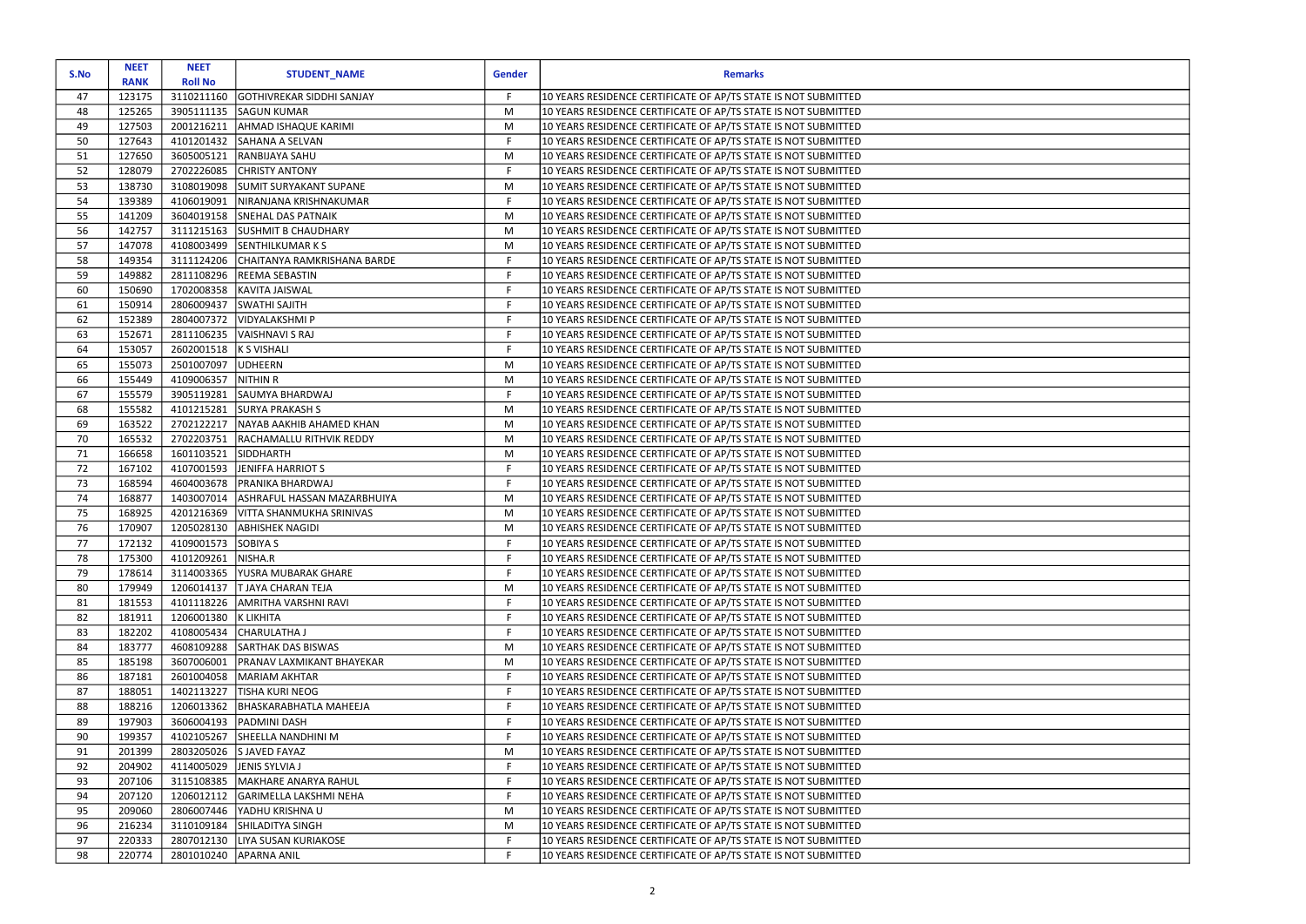| S.No | <b>NEET</b><br><b>RANK</b> | <b>NEET</b><br><b>Roll No</b> | <b>STUDENT_NAME</b>              | <b>Gender</b> | <b>Remarks</b>                                                 |
|------|----------------------------|-------------------------------|----------------------------------|---------------|----------------------------------------------------------------|
| 47   | 123175                     | 3110211160                    | <b>GOTHIVREKAR SIDDHI SANJAY</b> | F.            | 10 YEARS RESIDENCE CERTIFICATE OF AP/TS STATE IS NOT SUBMITTED |
| 48   | 125265                     | 3905111135                    | <b>SAGUN KUMAR</b>               | M             | 10 YEARS RESIDENCE CERTIFICATE OF AP/TS STATE IS NOT SUBMITTED |
| 49   | 127503                     | 2001216211                    | AHMAD ISHAQUE KARIMI             | M             | 10 YEARS RESIDENCE CERTIFICATE OF AP/TS STATE IS NOT SUBMITTED |
| 50   | 127643                     | 4101201432                    | SAHANA A SELVAN                  | $\mathsf F$   | 10 YEARS RESIDENCE CERTIFICATE OF AP/TS STATE IS NOT SUBMITTED |
| 51   | 127650                     | 3605005121                    | RANBIJAYA SAHU                   | M             | 10 YEARS RESIDENCE CERTIFICATE OF AP/TS STATE IS NOT SUBMITTED |
| 52   | 128079                     | 2702226085                    | <b>CHRISTY ANTONY</b>            | F             | 10 YEARS RESIDENCE CERTIFICATE OF AP/TS STATE IS NOT SUBMITTED |
| 53   | 138730                     | 3108019098                    | SUMIT SURYAKANT SUPANE           | M             | 10 YEARS RESIDENCE CERTIFICATE OF AP/TS STATE IS NOT SUBMITTED |
| 54   | 139389                     | 4106019091                    | NIRANJANA KRISHNAKUMAR           | $\mathsf F$   | 10 YEARS RESIDENCE CERTIFICATE OF AP/TS STATE IS NOT SUBMITTED |
| 55   | 141209                     | 3604019158                    | <b>SNEHAL DAS PATNAIK</b>        | M             | 10 YEARS RESIDENCE CERTIFICATE OF AP/TS STATE IS NOT SUBMITTED |
| 56   | 142757                     | 3111215163                    | <b>SUSHMIT B CHAUDHARY</b>       | M             | 10 YEARS RESIDENCE CERTIFICATE OF AP/TS STATE IS NOT SUBMITTED |
| 57   | 147078                     | 4108003499                    | SENTHILKUMAR K S                 | M             | 10 YEARS RESIDENCE CERTIFICATE OF AP/TS STATE IS NOT SUBMITTED |
| 58   | 149354                     | 3111124206                    | CHAITANYA RAMKRISHANA BARDE      | F             | 10 YEARS RESIDENCE CERTIFICATE OF AP/TS STATE IS NOT SUBMITTED |
| 59   | 149882                     | 2811108296                    | <b>REEMA SEBASTIN</b>            | F.            | 10 YEARS RESIDENCE CERTIFICATE OF AP/TS STATE IS NOT SUBMITTED |
| 60   | 150690                     | 1702008358                    | KAVITA JAISWAL                   | F             | 10 YEARS RESIDENCE CERTIFICATE OF AP/TS STATE IS NOT SUBMITTED |
| 61   | 150914                     | 2806009437                    | SWATHI SAJITH                    | F.            | 10 YEARS RESIDENCE CERTIFICATE OF AP/TS STATE IS NOT SUBMITTED |
| 62   | 152389                     | 2804007372                    | <b>VIDYALAKSHMI P</b>            | F             | 10 YEARS RESIDENCE CERTIFICATE OF AP/TS STATE IS NOT SUBMITTED |
| 63   | 152671                     | 2811106235                    | <b>VAISHNAVI S RAJ</b>           | F.            | 10 YEARS RESIDENCE CERTIFICATE OF AP/TS STATE IS NOT SUBMITTED |
| 64   | 153057                     | 2602001518                    | K S VISHALI                      | F             | 10 YEARS RESIDENCE CERTIFICATE OF AP/TS STATE IS NOT SUBMITTED |
| 65   | 155073                     | 2501007097                    | <b>UDHEERN</b>                   | M             | 10 YEARS RESIDENCE CERTIFICATE OF AP/TS STATE IS NOT SUBMITTED |
| 66   | 155449                     | 4109006357                    | NITHIN R                         | M             | 10 YEARS RESIDENCE CERTIFICATE OF AP/TS STATE IS NOT SUBMITTED |
| 67   | 155579                     | 3905119281                    | SAUMYA BHARDWAJ                  | F.            | 10 YEARS RESIDENCE CERTIFICATE OF AP/TS STATE IS NOT SUBMITTED |
| 68   | 155582                     | 4101215281                    | <b>SURYA PRAKASH S</b>           | M             | 10 YEARS RESIDENCE CERTIFICATE OF AP/TS STATE IS NOT SUBMITTED |
| 69   | 163522                     | 2702122217                    | NAYAB AAKHIB AHAMED KHAN         | M             | 10 YEARS RESIDENCE CERTIFICATE OF AP/TS STATE IS NOT SUBMITTED |
| 70   | 165532                     | 2702203751                    | RACHAMALLU RITHVIK REDDY         | M             | 10 YEARS RESIDENCE CERTIFICATE OF AP/TS STATE IS NOT SUBMITTED |
| 71   | 166658                     | 1601103521                    | SIDDHARTH                        | M             | 10 YEARS RESIDENCE CERTIFICATE OF AP/TS STATE IS NOT SUBMITTED |
| 72   | 167102                     | 4107001593                    | JENIFFA HARRIOT S                | F             | 10 YEARS RESIDENCE CERTIFICATE OF AP/TS STATE IS NOT SUBMITTED |
| 73   | 168594                     | 4604003678                    | PRANIKA BHARDWAJ                 | F             | 10 YEARS RESIDENCE CERTIFICATE OF AP/TS STATE IS NOT SUBMITTED |
| 74   | 168877                     | 1403007014                    | ASHRAFUL HASSAN MAZARBHUIYA      | M             | 10 YEARS RESIDENCE CERTIFICATE OF AP/TS STATE IS NOT SUBMITTED |
| 75   | 168925                     | 4201216369                    | VITTA SHANMUKHA SRINIVAS         | M             | 10 YEARS RESIDENCE CERTIFICATE OF AP/TS STATE IS NOT SUBMITTED |
| 76   | 170907                     | 1205028130                    | <b>ABHISHEK NAGIDI</b>           | M             | 10 YEARS RESIDENCE CERTIFICATE OF AP/TS STATE IS NOT SUBMITTED |
| 77   | 172132                     | 4109001573 SOBIYA S           |                                  | F.            | 10 YEARS RESIDENCE CERTIFICATE OF AP/TS STATE IS NOT SUBMITTED |
| 78   | 175300                     | 4101209261                    | NISHA.R                          | F.            | 10 YEARS RESIDENCE CERTIFICATE OF AP/TS STATE IS NOT SUBMITTED |
| 79   | 178614                     | 3114003365                    | YUSRA MUBARAK GHARE              | F             | 10 YEARS RESIDENCE CERTIFICATE OF AP/TS STATE IS NOT SUBMITTED |
| 80   | 179949                     | 1206014137                    | <b>T JAYA CHARAN TEJA</b>        | M             | 10 YEARS RESIDENCE CERTIFICATE OF AP/TS STATE IS NOT SUBMITTED |
| 81   | 181553                     | 4101118226                    | AMRITHA VARSHNI RAVI             | F.            | 10 YEARS RESIDENCE CERTIFICATE OF AP/TS STATE IS NOT SUBMITTED |
| 82   | 181911                     | 1206001380                    | K LIKHITA                        | F.            | 10 YEARS RESIDENCE CERTIFICATE OF AP/TS STATE IS NOT SUBMITTED |
| 83   | 182202                     | 4108005434                    | <b>CHARULATHA J</b>              | F             | 10 YEARS RESIDENCE CERTIFICATE OF AP/TS STATE IS NOT SUBMITTED |
| 84   | 183777                     | 4608109288                    | SARTHAK DAS BISWAS               | M             | 10 YEARS RESIDENCE CERTIFICATE OF AP/TS STATE IS NOT SUBMITTED |
| 85   | 185198                     | 3607006001                    | PRANAV LAXMIKANT BHAYEKAR        | M             | 10 YEARS RESIDENCE CERTIFICATE OF AP/TS STATE IS NOT SUBMITTED |
| 86   | 187181                     | 2601004058                    | <b>MARIAM AKHTAR</b>             | F.            | 10 YEARS RESIDENCE CERTIFICATE OF AP/TS STATE IS NOT SUBMITTED |
| 87   | 188051                     | 1402113227                    | TISHA KURI NEOG                  | F             | 10 YEARS RESIDENCE CERTIFICATE OF AP/TS STATE IS NOT SUBMITTED |
| 88   | 188216                     | 1206013362                    | <b>BHASKARABHATLA MAHEEJA</b>    | F.            | 10 YEARS RESIDENCE CERTIFICATE OF AP/TS STATE IS NOT SUBMITTED |
| 89   | 197903                     | 3606004193                    | PADMINI DASH                     | F.            | 10 YEARS RESIDENCE CERTIFICATE OF AP/TS STATE IS NOT SUBMITTED |
| 90   | 199357                     | 4102105267                    | <b>SHEELLA NANDHINI M</b>        | F.            | 10 YEARS RESIDENCE CERTIFICATE OF AP/TS STATE IS NOT SUBMITTED |
| 91   | 201399                     | 2803205026                    | <b>SJAVED FAYAZ</b>              | M             | 10 YEARS RESIDENCE CERTIFICATE OF AP/TS STATE IS NOT SUBMITTED |
| 92   | 204902                     | 4114005029                    | JENIS SYLVIA J                   | F             | 10 YEARS RESIDENCE CERTIFICATE OF AP/TS STATE IS NOT SUBMITTED |
| 93   | 207106                     | 3115108385                    | <b>MAKHARE ANARYA RAHUL</b>      | F.            | 10 YEARS RESIDENCE CERTIFICATE OF AP/TS STATE IS NOT SUBMITTED |
| 94   | 207120                     | 1206012112                    | GARIMELLA LAKSHMI NEHA           | F             | 10 YEARS RESIDENCE CERTIFICATE OF AP/TS STATE IS NOT SUBMITTED |
| 95   | 209060                     | 2806007446                    | YADHU KRISHNA U                  | M             | 10 YEARS RESIDENCE CERTIFICATE OF AP/TS STATE IS NOT SUBMITTED |
| 96   | 216234                     | 3110109184                    | SHILADITYA SINGH                 | M             | 10 YEARS RESIDENCE CERTIFICATE OF AP/TS STATE IS NOT SUBMITTED |
| 97   | 220333                     | 2807012130                    | LIYA SUSAN KURIAKOSE             | F.            | 10 YEARS RESIDENCE CERTIFICATE OF AP/TS STATE IS NOT SUBMITTED |
| 98   | 220774                     | 2801010240                    | <b>APARNA ANIL</b>               | F             | 10 YEARS RESIDENCE CERTIFICATE OF AP/TS STATE IS NOT SUBMITTED |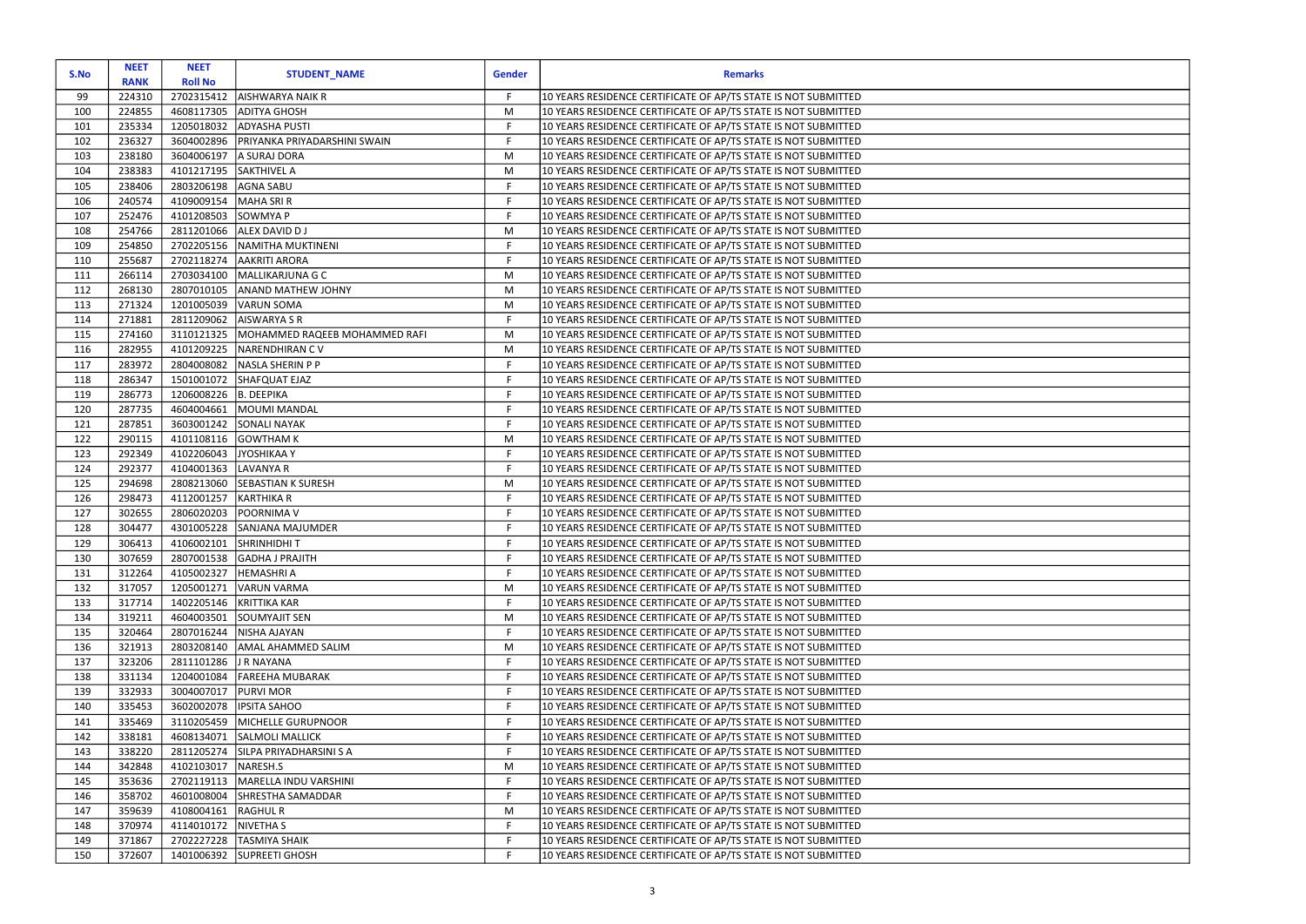| S.No       | <b>NEET</b>      | <b>NEET</b>              | <b>STUDENT_NAME</b>           | <b>Gender</b> | <b>Remarks</b>                                                                                                                   |
|------------|------------------|--------------------------|-------------------------------|---------------|----------------------------------------------------------------------------------------------------------------------------------|
|            | <b>RANK</b>      | <b>Roll No</b>           |                               |               |                                                                                                                                  |
| 99         | 224310           | 2702315412               | <b>AISHWARYA NAIK R</b>       | F.            | 10 YEARS RESIDENCE CERTIFICATE OF AP/TS STATE IS NOT SUBMITTED                                                                   |
| 100        | 224855           | 4608117305               | <b>ADITYA GHOSH</b>           | M             | 10 YEARS RESIDENCE CERTIFICATE OF AP/TS STATE IS NOT SUBMITTED                                                                   |
| 101        | 235334           | 1205018032               | <b>ADYASHA PUSTI</b>          | F             | 10 YEARS RESIDENCE CERTIFICATE OF AP/TS STATE IS NOT SUBMITTED                                                                   |
| 102        | 236327           | 3604002896               | PRIYANKA PRIYADARSHINI SWAIN  | F             | 10 YEARS RESIDENCE CERTIFICATE OF AP/TS STATE IS NOT SUBMITTED                                                                   |
| 103        | 238180           | 3604006197               | A SURAJ DORA                  | M             | 10 YEARS RESIDENCE CERTIFICATE OF AP/TS STATE IS NOT SUBMITTED                                                                   |
| 104        | 238383           | 4101217195               | SAKTHIVEL A                   | M             | 10 YEARS RESIDENCE CERTIFICATE OF AP/TS STATE IS NOT SUBMITTED                                                                   |
| 105        | 238406           | 2803206198               | AGNA SABU                     | F             | 10 YEARS RESIDENCE CERTIFICATE OF AP/TS STATE IS NOT SUBMITTED                                                                   |
| 106        | 240574           | 4109009154               | MAHA SRI R                    | F<br>F        | 10 YEARS RESIDENCE CERTIFICATE OF AP/TS STATE IS NOT SUBMITTED                                                                   |
| 107        | 252476<br>254766 | 4101208503               | SOWMYA P<br>ALEX DAVID DJ     | M             | 10 YEARS RESIDENCE CERTIFICATE OF AP/TS STATE IS NOT SUBMITTED<br>10 YEARS RESIDENCE CERTIFICATE OF AP/TS STATE IS NOT SUBMITTED |
| 108<br>109 | 254850           | 2811201066<br>2702205156 | NAMITHA MUKTINENI             | F             | 10 YEARS RESIDENCE CERTIFICATE OF AP/TS STATE IS NOT SUBMITTED                                                                   |
| 110        | 255687           | 2702118274               | <b>AAKRITI ARORA</b>          | $\mathsf F$   | 10 YEARS RESIDENCE CERTIFICATE OF AP/TS STATE IS NOT SUBMITTED                                                                   |
| 111        | 266114           | 2703034100               | MALLIKARJUNA G C              | M             | 10 YEARS RESIDENCE CERTIFICATE OF AP/TS STATE IS NOT SUBMITTED                                                                   |
| 112        | 268130           | 2807010105               | <b>ANAND MATHEW JOHNY</b>     | M             | 10 YEARS RESIDENCE CERTIFICATE OF AP/TS STATE IS NOT SUBMITTED                                                                   |
| 113        | 271324           | 1201005039               | VARUN SOMA                    | M             | 10 YEARS RESIDENCE CERTIFICATE OF AP/TS STATE IS NOT SUBMITTED                                                                   |
| 114        | 271881           | 2811209062               | AISWARYA S R                  | F             | 10 YEARS RESIDENCE CERTIFICATE OF AP/TS STATE IS NOT SUBMITTED                                                                   |
| 115        | 274160           | 3110121325               | MOHAMMED RAQEEB MOHAMMED RAFI | M             | 10 YEARS RESIDENCE CERTIFICATE OF AP/TS STATE IS NOT SUBMITTED                                                                   |
| 116        | 282955           | 4101209225               | NARENDHIRAN CV                | M             | 10 YEARS RESIDENCE CERTIFICATE OF AP/TS STATE IS NOT SUBMITTED                                                                   |
| 117        | 283972           | 2804008082               | NASLA SHERIN P P              | F             | 10 YEARS RESIDENCE CERTIFICATE OF AP/TS STATE IS NOT SUBMITTED                                                                   |
| 118        | 286347           | 1501001072               | SHAFQUAT EJAZ                 | $\mathsf F$   | 10 YEARS RESIDENCE CERTIFICATE OF AP/TS STATE IS NOT SUBMITTED                                                                   |
| 119        | 286773           | 1206008226               | B. DEEPIKA                    | F.            | 10 YEARS RESIDENCE CERTIFICATE OF AP/TS STATE IS NOT SUBMITTED                                                                   |
| 120        | 287735           | 4604004661               | MOUMI MANDAL                  | F             | 10 YEARS RESIDENCE CERTIFICATE OF AP/TS STATE IS NOT SUBMITTED                                                                   |
| 121        | 287851           | 3603001242               | <b>SONALI NAYAK</b>           | F.            | 10 YEARS RESIDENCE CERTIFICATE OF AP/TS STATE IS NOT SUBMITTED                                                                   |
| 122        | 290115           | 4101108116               | <b>GOWTHAM K</b>              | M             | 10 YEARS RESIDENCE CERTIFICATE OF AP/TS STATE IS NOT SUBMITTED                                                                   |
| 123        | 292349           | 4102206043               | JYOSHIKAA Y                   | F.            | 10 YEARS RESIDENCE CERTIFICATE OF AP/TS STATE IS NOT SUBMITTED                                                                   |
| 124        | 292377           | 4104001363               | LAVANYA R                     | F             | 10 YEARS RESIDENCE CERTIFICATE OF AP/TS STATE IS NOT SUBMITTED                                                                   |
| 125        | 294698           | 2808213060               | <b>SEBASTIAN K SURESH</b>     | M             | 10 YEARS RESIDENCE CERTIFICATE OF AP/TS STATE IS NOT SUBMITTED                                                                   |
| 126        | 298473           | 4112001257               | KARTHIKA R                    | F.            | 10 YEARS RESIDENCE CERTIFICATE OF AP/TS STATE IS NOT SUBMITTED                                                                   |
| 127        | 302655           | 2806020203               | POORNIMA V                    | F.            | 10 YEARS RESIDENCE CERTIFICATE OF AP/TS STATE IS NOT SUBMITTED                                                                   |
| 128        | 304477           | 4301005228               | SANJANA MAJUMDER              | F             | 10 YEARS RESIDENCE CERTIFICATE OF AP/TS STATE IS NOT SUBMITTED                                                                   |
| 129        | 306413           | 4106002101               | SHRINHIDHIT                   | F.            | 10 YEARS RESIDENCE CERTIFICATE OF AP/TS STATE IS NOT SUBMITTED                                                                   |
| 130        | 307659           | 2807001538               | <b>GADHA J PRAJITH</b>        | F.            | 10 YEARS RESIDENCE CERTIFICATE OF AP/TS STATE IS NOT SUBMITTED                                                                   |
| 131        | 312264           | 4105002327               | <b>HEMASHRIA</b>              | F.            | 10 YEARS RESIDENCE CERTIFICATE OF AP/TS STATE IS NOT SUBMITTED                                                                   |
| 132        | 317057           | 1205001271               | VARUN VARMA                   | M             | 10 YEARS RESIDENCE CERTIFICATE OF AP/TS STATE IS NOT SUBMITTED                                                                   |
| 133        | 317714           | 1402205146               | KRITTIKA KAR                  | F.            | 10 YEARS RESIDENCE CERTIFICATE OF AP/TS STATE IS NOT SUBMITTED                                                                   |
| 134        | 319211           | 4604003501               | SOUMYAJIT SEN                 | M             | 10 YEARS RESIDENCE CERTIFICATE OF AP/TS STATE IS NOT SUBMITTED                                                                   |
| 135        | 320464           | 2807016244               | NISHA AJAYAN                  | F.            | 10 YEARS RESIDENCE CERTIFICATE OF AP/TS STATE IS NOT SUBMITTED                                                                   |
| 136        | 321913           | 2803208140               | AMAL AHAMMED SALIM            | M             | 10 YEARS RESIDENCE CERTIFICATE OF AP/TS STATE IS NOT SUBMITTED                                                                   |
| 137        | 323206           | 2811101286               | J R NAYANA                    | F             | 10 YEARS RESIDENCE CERTIFICATE OF AP/TS STATE IS NOT SUBMITTED                                                                   |
| 138        | 331134           | 1204001084               | FAREEHA MUBARAK               | F.            | 10 YEARS RESIDENCE CERTIFICATE OF AP/TS STATE IS NOT SUBMITTED                                                                   |
| 139        | 332933           | 3004007017               | <b>PURVI MOR</b>              | F             | 10 YEARS RESIDENCE CERTIFICATE OF AP/TS STATE IS NOT SUBMITTED                                                                   |
| 140        | 335453           | 3602002078               | <b>IPSITA SAHOO</b>           | F.            | 10 YEARS RESIDENCE CERTIFICATE OF AP/TS STATE IS NOT SUBMITTED                                                                   |
| 141        | 335469           | 3110205459               | MICHELLE GURUPNOOR            | F             | 10 YEARS RESIDENCE CERTIFICATE OF AP/TS STATE IS NOT SUBMITTED                                                                   |
| 142        | 338181           | 4608134071               | <b>SALMOLI MALLICK</b>        | F.            | 10 YEARS RESIDENCE CERTIFICATE OF AP/TS STATE IS NOT SUBMITTED                                                                   |
| 143        | 338220           | 2811205274               | SILPA PRIYADHARSINI S A       | F             | 10 YEARS RESIDENCE CERTIFICATE OF AP/TS STATE IS NOT SUBMITTED                                                                   |
| 144        | 342848           | 4102103017               | NARESH.S                      | M             | 10 YEARS RESIDENCE CERTIFICATE OF AP/TS STATE IS NOT SUBMITTED                                                                   |
| 145        | 353636           | 2702119113               | MARELLA INDU VARSHINI         | F.            | 10 YEARS RESIDENCE CERTIFICATE OF AP/TS STATE IS NOT SUBMITTED                                                                   |
| 146        | 358702           | 4601008004               | <b>SHRESTHA SAMADDAR</b>      | F.            | 10 YEARS RESIDENCE CERTIFICATE OF AP/TS STATE IS NOT SUBMITTED                                                                   |
| 147        | 359639           | 4108004161               | RAGHUL R                      | M             | 10 YEARS RESIDENCE CERTIFICATE OF AP/TS STATE IS NOT SUBMITTED                                                                   |
| 148        | 370974           | 4114010172               | NIVETHA S                     | F.            | 10 YEARS RESIDENCE CERTIFICATE OF AP/TS STATE IS NOT SUBMITTED                                                                   |
| 149        | 371867           | 2702227228               | <b>TASMIYA SHAIK</b>          | F             | 10 YEARS RESIDENCE CERTIFICATE OF AP/TS STATE IS NOT SUBMITTED                                                                   |
| 150        | 372607           |                          | 1401006392 SUPREETI GHOSH     | F.            | 10 YEARS RESIDENCE CERTIFICATE OF AP/TS STATE IS NOT SUBMITTED                                                                   |